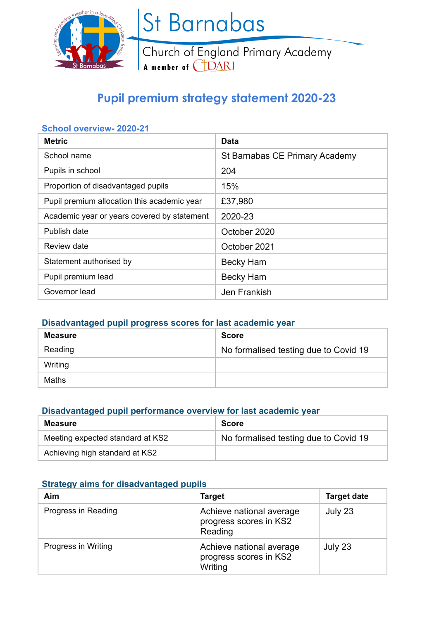

St Barnabas

Church of England Primary Academy<br>A member of CDARI

# **Pupil premium strategy statement 2020-23**

### **School overview- 2020-21**

| <b>Metric</b>                               | Data                           |
|---------------------------------------------|--------------------------------|
| School name                                 | St Barnabas CE Primary Academy |
| Pupils in school                            | 204                            |
| Proportion of disadvantaged pupils          | 15%                            |
| Pupil premium allocation this academic year | £37,980                        |
| Academic year or years covered by statement | 2020-23                        |
| Publish date                                | October 2020                   |
| Review date                                 | October 2021                   |
| Statement authorised by                     | Becky Ham                      |
| Pupil premium lead                          | <b>Becky Ham</b>               |
| Governor lead                               | Jen Frankish                   |

### **Disadvantaged pupil progress scores for last academic year**

| <b>Measure</b> | <b>Score</b>                          |
|----------------|---------------------------------------|
| Reading        | No formalised testing due to Covid 19 |
| Writing        |                                       |
| Maths          |                                       |

#### **Disadvantaged pupil performance overview for last academic year**

| Measure                          | <b>Score</b>                          |
|----------------------------------|---------------------------------------|
| Meeting expected standard at KS2 | No formalised testing due to Covid 19 |
| Achieving high standard at KS2   |                                       |

### **Strategy aims for disadvantaged pupils**

| Aim                 | <b>Target</b>                                                 | <b>Target date</b> |
|---------------------|---------------------------------------------------------------|--------------------|
| Progress in Reading | Achieve national average<br>progress scores in KS2<br>Reading | July 23            |
| Progress in Writing | Achieve national average<br>progress scores in KS2<br>Writing | July 23            |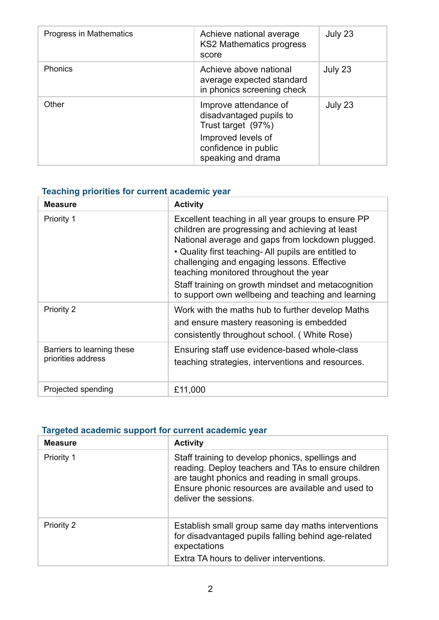| Progress in Mathematics | Achieve national average<br><b>KS2 Mathematics progress</b><br>score                                                                       | July 23 |
|-------------------------|--------------------------------------------------------------------------------------------------------------------------------------------|---------|
| <b>Phonics</b>          | Achieve above national<br>average expected standard<br>in phonics screening check                                                          | July 23 |
| Other                   | Improve attendance of<br>disadvantaged pupils to<br>Trust target (97%)<br>Improved levels of<br>confidence in public<br>speaking and drama | July 23 |

# **Teaching priorities for current academic year**

| <b>Measure</b>                                   | <b>Activity</b>                                                                                                                                                                                                                                                                                                                                                                                                        |
|--------------------------------------------------|------------------------------------------------------------------------------------------------------------------------------------------------------------------------------------------------------------------------------------------------------------------------------------------------------------------------------------------------------------------------------------------------------------------------|
| Priority 1                                       | Excellent teaching in all year groups to ensure PP<br>children are progressing and achieving at least<br>National average and gaps from lockdown plugged.<br>• Quality first teaching- All pupils are entitled to<br>challenging and engaging lessons. Effective<br>teaching monitored throughout the year<br>Staff training on growth mindset and metacognition<br>to support own wellbeing and teaching and learning |
| <b>Priority 2</b>                                | Work with the maths hub to further develop Maths<br>and ensure mastery reasoning is embedded<br>consistently throughout school. (White Rose)                                                                                                                                                                                                                                                                           |
| Barriers to learning these<br>priorities address | Ensuring staff use evidence-based whole-class<br>teaching strategies, interventions and resources.                                                                                                                                                                                                                                                                                                                     |
| Projected spending                               | £11,000                                                                                                                                                                                                                                                                                                                                                                                                                |

## **Targeted academic support for current academic year**

| <b>Measure</b> | <b>Activity</b>                                                                                                                                                                                                                          |
|----------------|------------------------------------------------------------------------------------------------------------------------------------------------------------------------------------------------------------------------------------------|
| Priority 1     | Staff training to develop phonics, spellings and<br>reading. Deploy teachers and TAs to ensure children<br>are taught phonics and reading in small groups.<br>Ensure phonic resources are available and used to<br>deliver the sessions. |
| Priority 2     | Establish small group same day maths interventions<br>for disadvantaged pupils falling behind age-related<br>expectations<br>Extra TA hours to deliver interventions.                                                                    |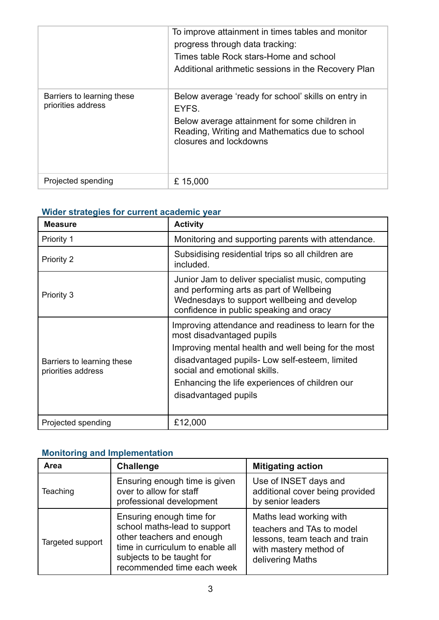|                                                  | To improve attainment in times tables and monitor<br>progress through data tracking:<br>Times table Rock stars-Home and school<br>Additional arithmetic sessions in the Recovery Plan     |
|--------------------------------------------------|-------------------------------------------------------------------------------------------------------------------------------------------------------------------------------------------|
| Barriers to learning these<br>priorities address | Below average 'ready for school' skills on entry in<br>EYFS.<br>Below average attainment for some children in<br>Reading, Writing and Mathematics due to school<br>closures and lockdowns |
| Projected spending                               | £15,000                                                                                                                                                                                   |

### **Wider strategies for current academic year**

| <b>Measure</b>                                   | <b>Activity</b>                                                                                                                                                                                                                                                                                     |  |
|--------------------------------------------------|-----------------------------------------------------------------------------------------------------------------------------------------------------------------------------------------------------------------------------------------------------------------------------------------------------|--|
| Priority 1                                       | Monitoring and supporting parents with attendance.                                                                                                                                                                                                                                                  |  |
| <b>Priority 2</b>                                | Subsidising residential trips so all children are<br>included.                                                                                                                                                                                                                                      |  |
| Priority 3                                       | Junior Jam to deliver specialist music, computing<br>and performing arts as part of Wellbeing<br>Wednesdays to support wellbeing and develop<br>confidence in public speaking and oracy                                                                                                             |  |
| Barriers to learning these<br>priorities address | Improving attendance and readiness to learn for the<br>most disadvantaged pupils<br>Improving mental health and well being for the most<br>disadvantaged pupils- Low self-esteem, limited<br>social and emotional skills.<br>Enhancing the life experiences of children our<br>disadvantaged pupils |  |
| Projected spending                               | £12,000                                                                                                                                                                                                                                                                                             |  |

## **Monitoring and Implementation**

| Area             | <b>Challenge</b>                                                                                                                                                                     | <b>Mitigating action</b>                                                                                                            |
|------------------|--------------------------------------------------------------------------------------------------------------------------------------------------------------------------------------|-------------------------------------------------------------------------------------------------------------------------------------|
| Teaching         | Ensuring enough time is given<br>over to allow for staff<br>professional development                                                                                                 | Use of INSET days and<br>additional cover being provided<br>by senior leaders                                                       |
| Targeted support | Ensuring enough time for<br>school maths-lead to support<br>other teachers and enough<br>time in curriculum to enable all<br>subjects to be taught for<br>recommended time each week | Maths lead working with<br>teachers and TAs to model<br>lessons, team teach and train<br>with mastery method of<br>delivering Maths |